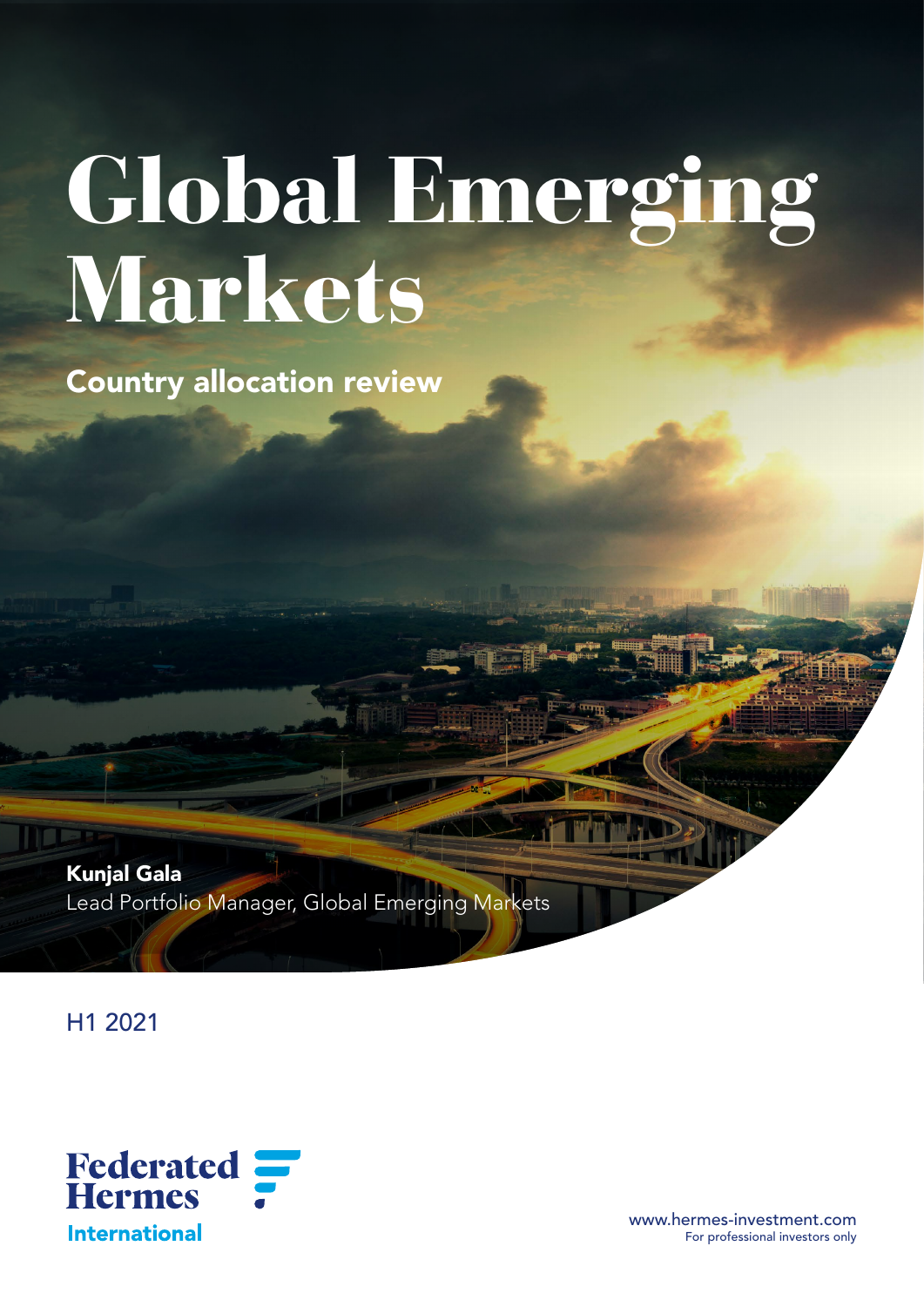# Global Emerging Markets

Country allocation review

Kunjal Gala Lead Portfolio Manager, Global Emerging Markets

H1 2021



www.hermes-investment.com For professional investors only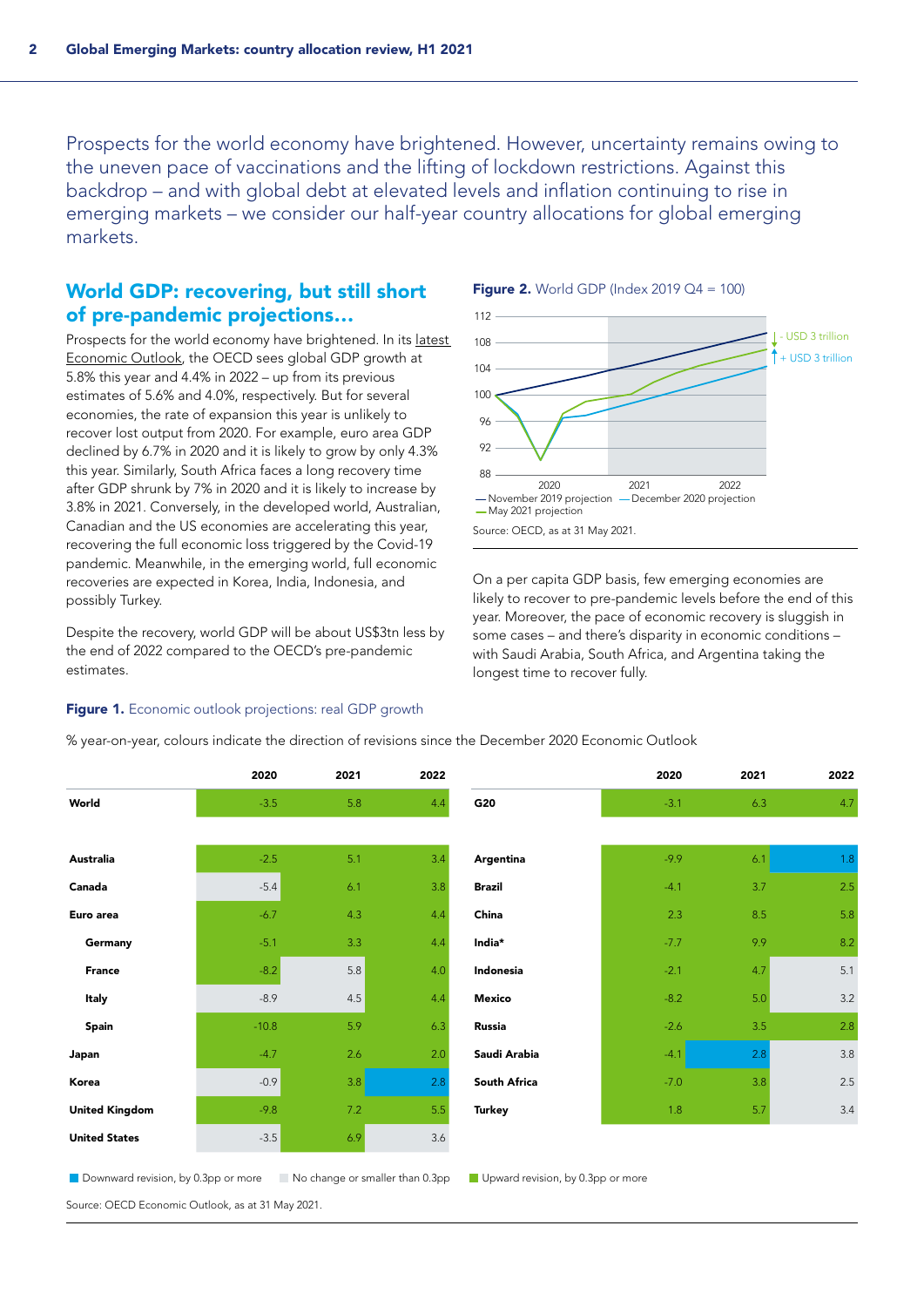Prospects for the world economy have brightened. However, uncertainty remains owing to the uneven pace of vaccinations and the lifting of lockdown restrictions. Against this backdrop – and with global debt at elevated levels and inflation continuing to rise in emerging markets – we consider our half-year country allocations for global emerging markets.

## World GDP: recovering, but still short of pre-pandemic projections…

Prospects for the world economy have brightened. In its [latest](https://www.oecd.org/economic-outlook/may-2021/)  [Economic Outlook](https://www.oecd.org/economic-outlook/may-2021/), the OECD sees global GDP growth at 5.8% this year and 4.4% in 2022 – up from its previous estimates of 5.6% and 4.0%, respectively. But for several economies, the rate of expansion this year is unlikely to recover lost output from 2020. For example, euro area GDP declined by 6.7% in 2020 and it is likely to grow by only 4.3% this year. Similarly, South Africa faces a long recovery time after GDP shrunk by 7% in 2020 and it is likely to increase by 3.8% in 2021. Conversely, in the developed world, Australian, Canadian and the US economies are accelerating this year, recovering the full economic loss triggered by the Covid-19 pandemic. Meanwhile, in the emerging world, full economic recoveries are expected in Korea, India, Indonesia, and possibly Turkey.

Despite the recovery, world GDP will be about US\$3tn less by the end of 2022 compared to the OECD's pre-pandemic estimates.

#### Figure 1. Economic outlook projections: real GDP growth





On a per capita GDP basis, few emerging economies are likely to recover to pre-pandemic levels before the end of this year. Moreover, the pace of economic recovery is sluggish in some cases – and there's disparity in economic conditions – with Saudi Arabia, South Africa, and Argentina taking the longest time to recover fully.

|                       | 2020    | 2021 | 2022 |               | 2020   | 2021 | 2022 |
|-----------------------|---------|------|------|---------------|--------|------|------|
| World                 | $-3.5$  | 5.8  | 4.4  | G20           | $-3.1$ | 6.3  | 4.7  |
|                       |         |      |      |               |        |      |      |
| Australia             | $-2.5$  | 5.1  | 3.4  | Argentina     | $-9.9$ | 6.1  | 1.8  |
| Canada                | $-5.4$  | 6.1  | 3.8  | <b>Brazil</b> | $-4.1$ | 3.7  | 2.5  |
| Euro area             | $-6.7$  | 4.3  | 4.4  | China         | 2.3    | 8.5  | 5.8  |
| Germany               | $-5.1$  | 3.3  | 4.4  | India*        | $-7.7$ | 9.9  | 8.2  |
| <b>France</b>         | $-8.2$  | 5.8  | 4.0  | Indonesia     | $-2.1$ | 4.7  | 5.1  |
| Italy                 | $-8.9$  | 4.5  | 4.4  | Mexico        | $-8.2$ | 5.0  | 3.2  |
| Spain                 | $-10.8$ | 5.9  | 6.3  | Russia        | $-2.6$ | 3.5  | 2.8  |
| Japan                 | $-4.7$  | 2.6  | 2.0  | Saudi Arabia  | $-4.1$ | 2.8  | 3.8  |
| Korea                 | $-0.9$  | 3.8  | 2.8  | South Africa  | $-7.0$ | 3.8  | 2.5  |
| <b>United Kingdom</b> | $-9.8$  | 7.2  | 5.5  | <b>Turkey</b> | 1.8    | 5.7  | 3.4  |
| <b>United States</b>  | $-3.5$  | 6.9  | 3.6  |               |        |      |      |
|                       |         |      |      |               |        |      |      |

% year-on-year, colours indicate the direction of revisions since the December 2020 Economic Outlook

Source: OECD Economic Outlook, as at 31 May 2021.

Downward revision, by 0.3pp or more No change or smaller than 0.3pp Upward revision, by 0.3pp or more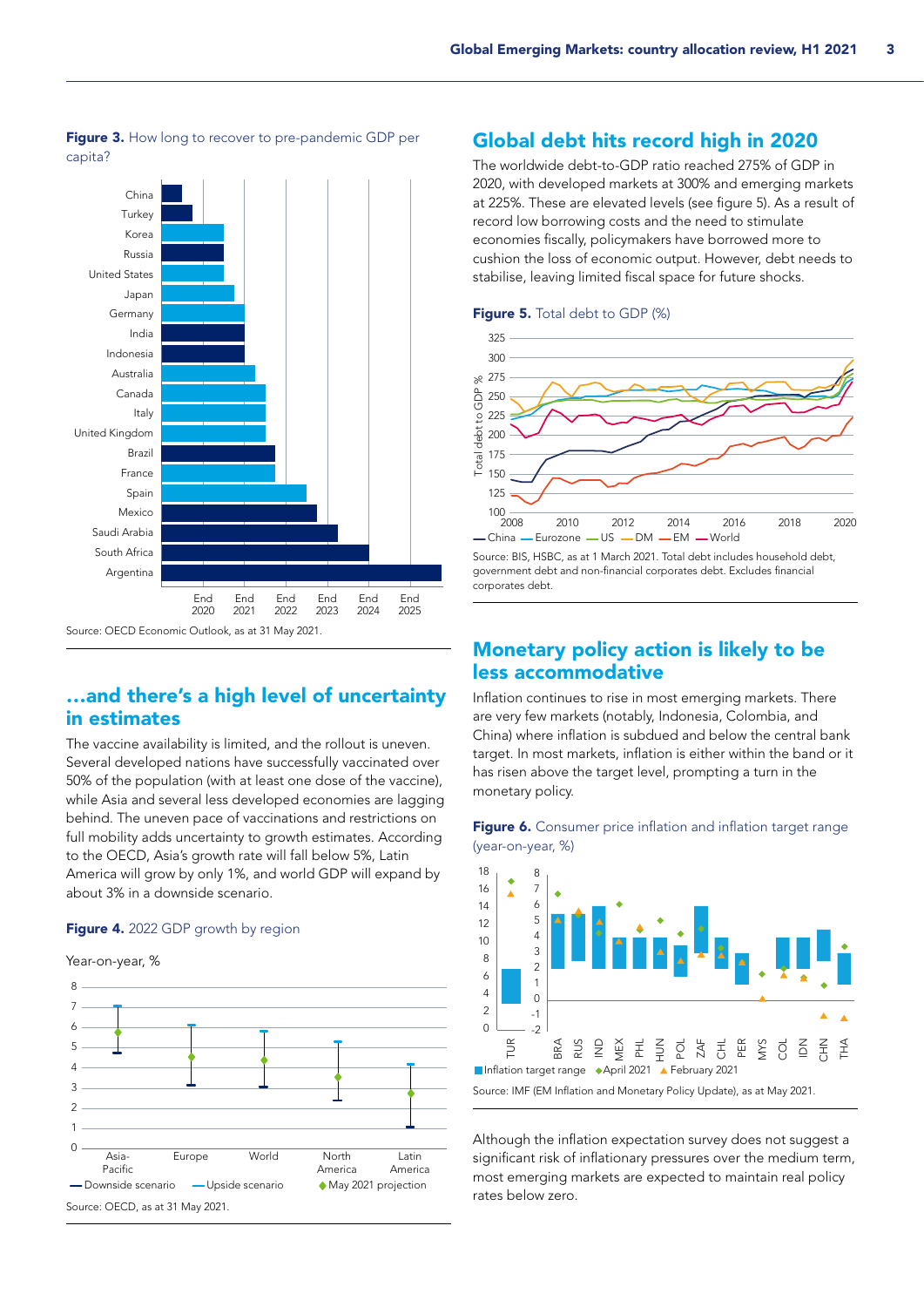

Figure 3. How long to recover to pre-pandemic GDP per capita?

# …and there's a high level of uncertainty in estimates

The vaccine availability is limited, and the rollout is uneven. Several developed nations have successfully vaccinated over 50% of the population (with at least one dose of the vaccine), while Asia and several less developed economies are lagging behind. The uneven pace of vaccinations and restrictions on full mobility adds uncertainty to growth estimates. According to the OECD, Asia's growth rate will fall below 5%, Latin America will grow by only 1%, and world GDP will expand by about 3% in a downside scenario.

## Figure 4. 2022 GDP growth by region



## Global debt hits record high in 2020

The worldwide debt-to-GDP ratio reached 275% of GDP in 2020, with developed markets at 300% and emerging markets at 225%. These are elevated levels (see figure 5). As a result of record low borrowing costs and the need to stimulate economies fiscally, policymakers have borrowed more to cushion the loss of economic output. However, debt needs to stabilise, leaving limited fiscal space for future shocks.



#### Figure 5. Total debt to GDP (%)

Source: BIS, HSBC, as at 1 March 2021. Total debt includes household debt, government debt and non-financial corporates debt. Excludes financial corporates debt.

# Monetary policy action is likely to be less accommodative

Inflation continues to rise in most emerging markets. There are very few markets (notably, Indonesia, Colombia, and China) where inflation is subdued and below the central bank target. In most markets, inflation is either within the band or it has risen above the target level, prompting a turn in the monetary policy.



Figure 6. Consumer price inflation and inflation target range (year-on-year, %)

Although the inflation expectation survey does not suggest a significant risk of inflationary pressures over the medium term, most emerging markets are expected to maintain real policy rates below zero.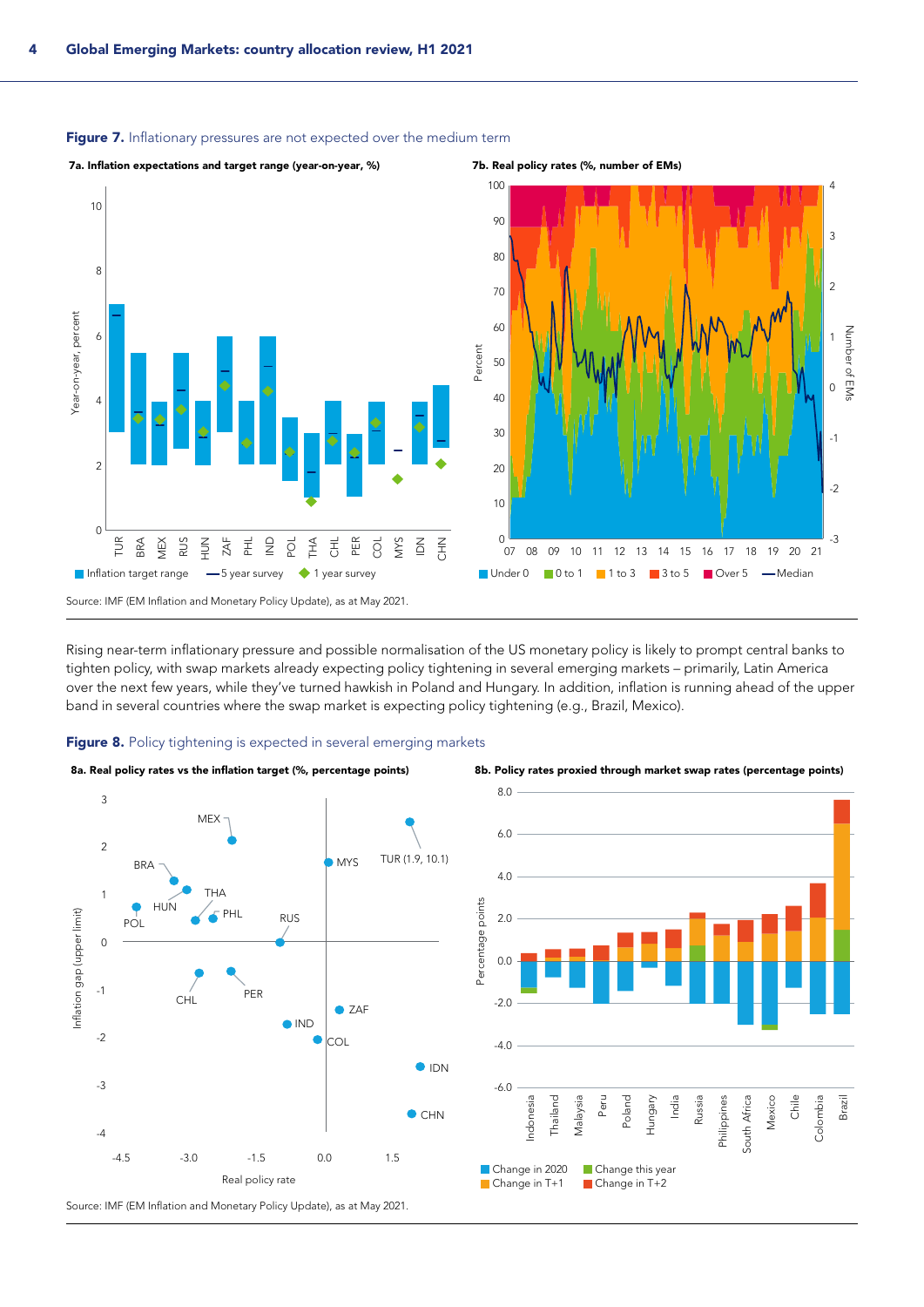

#### Figure 7. Inflationary pressures are not expected over the medium term

Rising near-term inflationary pressure and possible normalisation of the US monetary policy is likely to prompt central banks to tighten policy, with swap markets already expecting policy tightening in several emerging markets – primarily, Latin America over the next few years, while they've turned hawkish in Poland and Hungary. In addition, inflation is running ahead of the upper band in several countries where the swap market is expecting policy tightening (e.g., Brazil, Mexico).







![](_page_3_Figure_7.jpeg)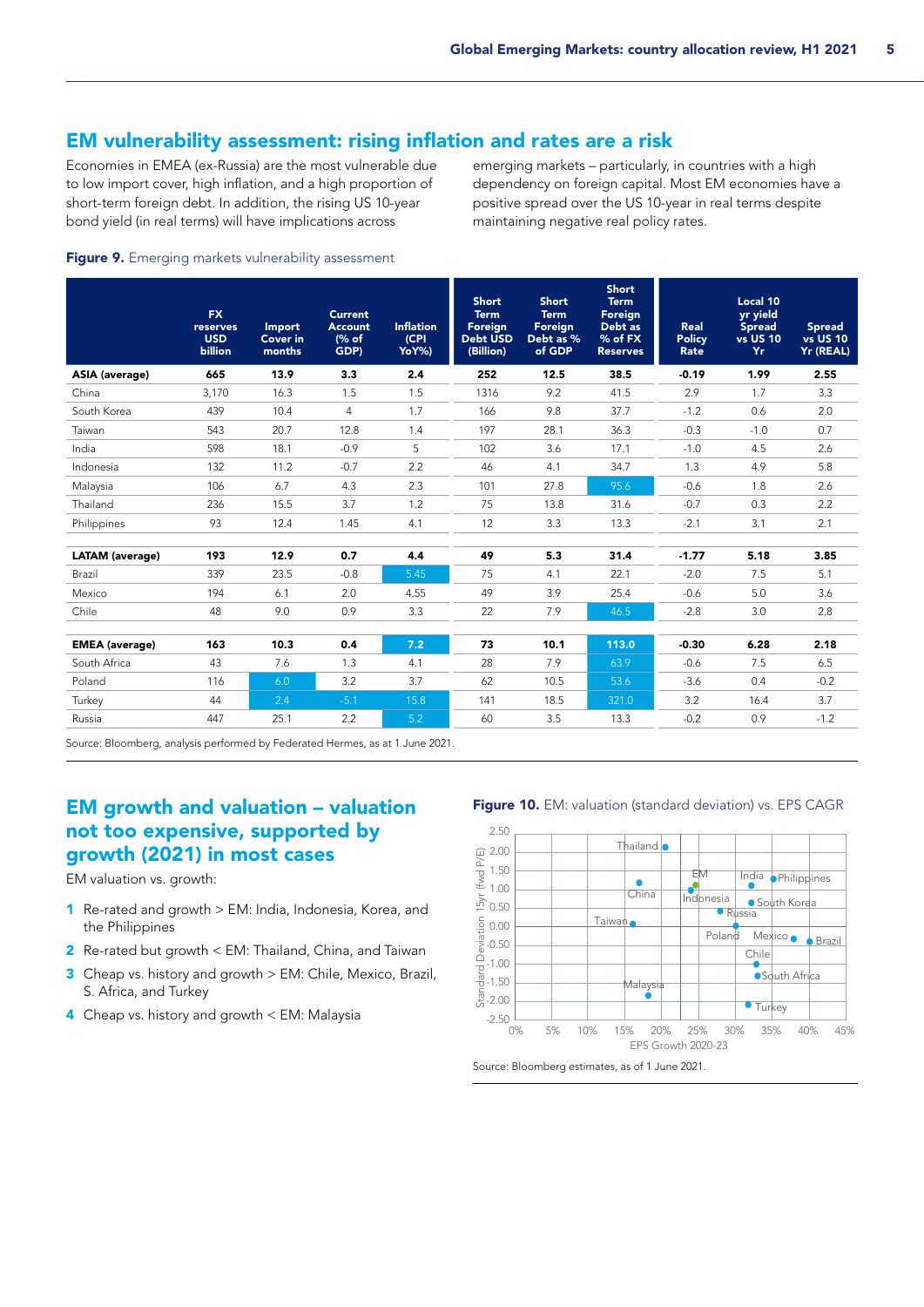## EM vulnerability assessment: rising inflation and rates are a risk

Economies in EMEA (ex-Russia) are the most vulnerable due to low import cover, high inflation, and a high proportion of short-term foreign debt. In addition, the rising US 10-year bond yield (in real terms) will have implications across

emerging markets – particularly, in countries with a high dependency on foreign capital. Most EM economies have a positive spread over the US 10-year in real terms despite maintaining negative real policy rates.

#### Figure 9. Emerging markets vulnerability assessment

|                        | <b>FX</b><br>reserves<br><b>USD</b><br>billion | Import<br><b>Cover in</b><br>months | <b>Current</b><br><b>Account</b><br>(% of<br>GDP) | <b>Inflation</b><br>(CPI<br>YoY%) | <b>Short</b><br><b>Term</b><br>Foreign<br>Debt USD<br>(Billion) | <b>Short</b><br><b>Term</b><br>Foreign<br>Debt as %<br>of GDP | <b>Short</b><br><b>Term</b><br>Foreign<br>Debt as<br>$%$ of FX<br><b>Reserves</b> | Real<br><b>Policy</b><br>Rate | Local 10<br>yr yield<br><b>Spread</b><br><b>vs US 10</b><br>Yr. | <b>Spread</b><br><b>vs</b> US 10<br>Yr (REAL) |
|------------------------|------------------------------------------------|-------------------------------------|---------------------------------------------------|-----------------------------------|-----------------------------------------------------------------|---------------------------------------------------------------|-----------------------------------------------------------------------------------|-------------------------------|-----------------------------------------------------------------|-----------------------------------------------|
| <b>ASIA (average)</b>  | 665                                            | 13.9                                | 3.3                                               | 2.4                               | 252                                                             | 12.5                                                          | 38.5                                                                              | $-0.19$                       | 1.99                                                            | 2.55                                          |
| China                  | 3.170                                          | 16.3                                | 1.5                                               | 1.5                               | 1316                                                            | 9.2                                                           | 41.5                                                                              | 2.9                           | 1.7                                                             | 3.3                                           |
| South Korea            | 439                                            | 10.4                                | 4                                                 | 1.7                               | 166                                                             | 9.8                                                           | 37.7                                                                              | $-1.2$                        | 0.6                                                             | 2.0                                           |
| Taiwan                 | 543                                            | 20.7                                | 12.8                                              | 1.4                               | 197                                                             | 28.1                                                          | 36.3                                                                              | $-0.3$                        | $-1.0$                                                          | 0.7                                           |
| India                  | 598                                            | 18.1                                | $-0.9$                                            | 5                                 | 102                                                             | 3.6                                                           | 17.1                                                                              | $-1.0$                        | 4.5                                                             | 2.6                                           |
| Indonesia              | 132                                            | 11.2                                | $-0.7$                                            | 2.2                               | 46                                                              | 4.1                                                           | 34.7                                                                              | 1.3                           | 4.9                                                             | 5.8                                           |
| Malaysia               | 106                                            | 6.7                                 | 4.3                                               | 2.3                               | 101                                                             | 27.8                                                          | 95.6                                                                              | $-0.6$                        | 1.8                                                             | 2.6                                           |
| Thailand               | 236                                            | 15.5                                | 3.7                                               | 1.2                               | 75                                                              | 13.8                                                          | 31.6                                                                              | $-0.7$                        | 0.3                                                             | 2.2                                           |
| Philippines            | 93                                             | 12.4                                | 1.45                                              | 4.1                               | 12                                                              | 3.3                                                           | 13.3                                                                              | $-2.1$                        | 3.1                                                             | 2.1                                           |
|                        |                                                |                                     |                                                   |                                   |                                                                 |                                                               |                                                                                   |                               |                                                                 |                                               |
| <b>LATAM</b> (average) | 193                                            | 12.9                                | 0.7                                               | 4.4                               | 49                                                              | 5.3                                                           | 31.4                                                                              | $-1.77$                       | 5.18                                                            | 3.85                                          |
| Brazil                 | 339                                            | 23.5                                | $-0.8$                                            | 5.45                              | 75                                                              | 4.1                                                           | 22.1                                                                              | $-2.0$                        | 7.5                                                             | 5.1                                           |
| Mexico                 | 194                                            | 6.1                                 | 2.0                                               | 4.55                              | 49                                                              | 3.9                                                           | 25.4                                                                              | $-0.6$                        | 5.0                                                             | 3.6                                           |
| Chile                  | 48                                             | 9.0                                 | 0.9                                               | 3.3                               | 22                                                              | 7.9                                                           | 46.5                                                                              | $-2.8$                        | 3.0                                                             | 2.8                                           |
|                        |                                                |                                     |                                                   |                                   |                                                                 |                                                               |                                                                                   |                               |                                                                 |                                               |
| <b>EMEA</b> (average)  | 163                                            | 10.3                                | 0.4                                               | 7.2                               | 73                                                              | 10.1                                                          | 113.0                                                                             | $-0.30$                       | 6.28                                                            | 2.18                                          |
| South Africa           | 43                                             | 7.6                                 | 1.3                                               | 4.1                               | 28                                                              | 7.9                                                           | 63.9                                                                              | $-0.6$                        | 7.5                                                             | 6.5                                           |
| Poland                 | 116                                            | 6.0                                 | 3.2                                               | 3.7                               | 62                                                              | 10.5                                                          | 53.6                                                                              | $-3.6$                        | 0.4                                                             | $-0.2$                                        |
| Turkey                 | 44                                             | 2.4                                 | $-5.1$                                            | 15.8                              | 141                                                             | 18.5                                                          | 321.0                                                                             | 3.2                           | 16.4                                                            | 3.7                                           |
| Russia                 | 447                                            | 25.1                                | 2.2                                               | 5.2                               | 60                                                              | 3.5                                                           | 13.3                                                                              | $-0.2$                        | 0.9                                                             | $-1.2$                                        |
|                        |                                                |                                     |                                                   |                                   |                                                                 |                                                               |                                                                                   |                               |                                                                 |                                               |

Source: Bloomberg, analysis performed by Federated Hermes, as at 1 June 2021.

# EM growth and valuation – valuation not too expensive, supported by growth (2021) in most cases

EM valuation vs. growth:

- 1 Re-rated and growth > EM: India, Indonesia, Korea, and the Philippines
- 2 Re-rated but growth < EM: Thailand, China, and Taiwan
- 3 Cheap vs. history and growth > EM: Chile, Mexico, Brazil, S. Africa, and Turkey
- 4 Cheap vs. history and growth < EM: Malaysia

![](_page_4_Figure_13.jpeg)

![](_page_4_Figure_14.jpeg)

![](_page_4_Figure_15.jpeg)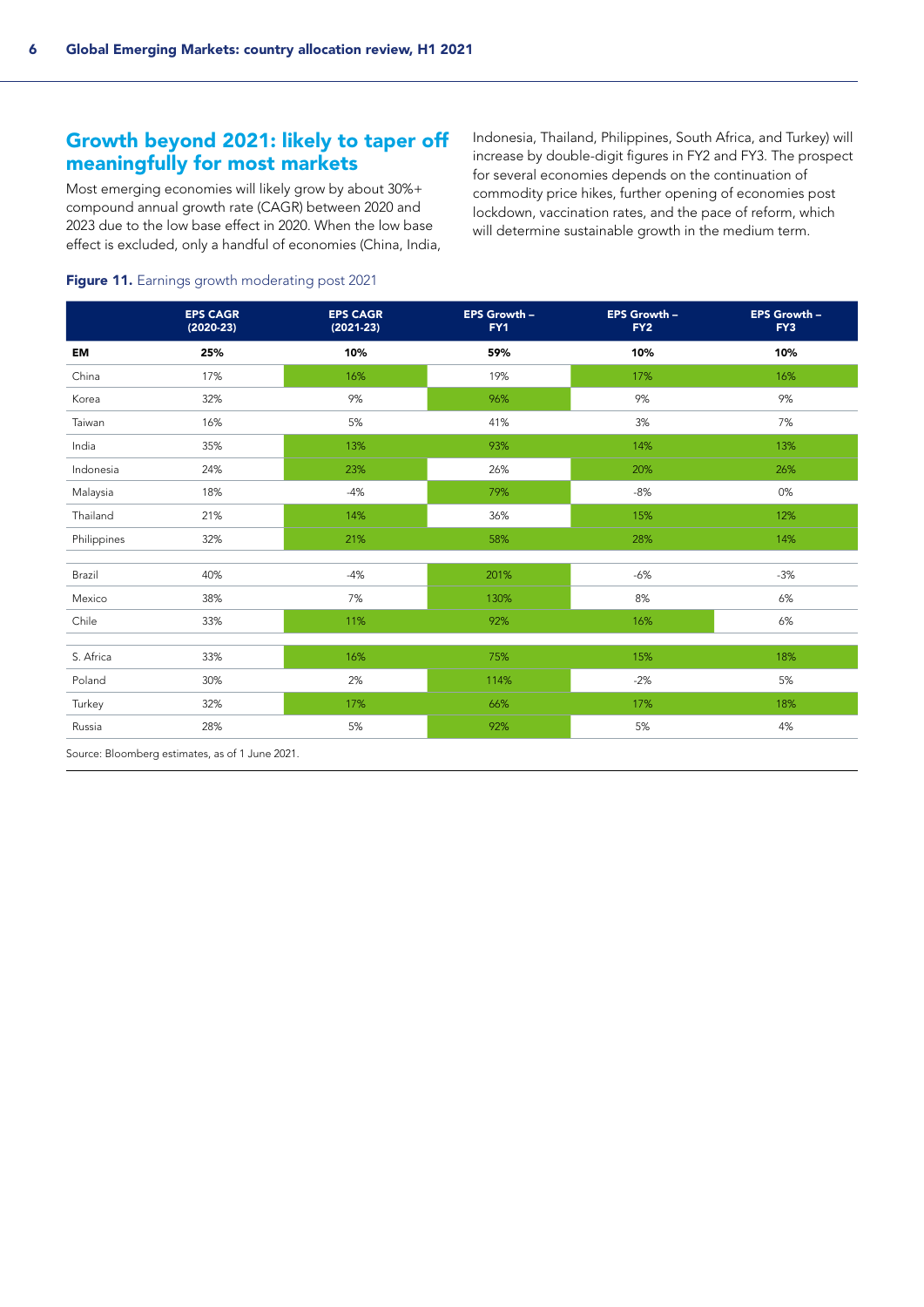# Growth beyond 2021: likely to taper off meaningfully for most markets

Most emerging economies will likely grow by about 30%+ compound annual growth rate (CAGR) between 2020 and 2023 due to the low base effect in 2020. When the low base effect is excluded, only a handful of economies (China, India, Indonesia, Thailand, Philippines, South Africa, and Turkey) will increase by double-digit figures in FY2 and FY3. The prospect for several economies depends on the continuation of commodity price hikes, further opening of economies post lockdown, vaccination rates, and the pace of reform, which will determine sustainable growth in the medium term.

#### Figure 11. Earnings growth moderating post 2021

|             | <b>EPS CAGR</b><br>$(2020-23)$ | <b>EPS CAGR</b><br>$(2021-23)$ | EPS Growth -<br>FY1 | EPS Growth -<br>FY <sub>2</sub> | EPS Growth -<br>FY3 |
|-------------|--------------------------------|--------------------------------|---------------------|---------------------------------|---------------------|
| EM          | 25%                            | 10%                            | 59%                 | 10%                             | 10%                 |
| China       | 17%                            | 16%                            | 19%                 | 17%                             | 16%                 |
| Korea       | 32%                            | 9%                             | 96%                 | 9%                              | 9%                  |
| Taiwan      | 16%                            | 5%                             | 41%                 | 3%                              | 7%                  |
| India       | 35%                            | 13%                            | 93%                 | 14%                             | 13%                 |
| Indonesia   | 24%                            | 23%                            | 26%                 | 20%                             | 26%                 |
| Malaysia    | 18%                            | $-4%$                          | 79%                 | $-8%$                           | 0%                  |
| Thailand    | 21%                            | 14%                            | 36%                 | 15%                             | 12%                 |
| Philippines | 32%                            | 21%                            | 58%                 | 28%                             | 14%                 |
|             |                                |                                |                     |                                 |                     |
| Brazil      | 40%                            | $-4%$                          | 201%                | $-6%$                           | $-3%$               |
| Mexico      | 38%                            | 7%                             | 130%                | $8\%$                           | $6\%$               |
| Chile       | 33%                            | 11%                            | 92%                 | 16%                             | $6\%$               |
| S. Africa   | 33%                            | 16%                            | 75%                 | 15%                             | 18%                 |
| Poland      | 30%                            | 2%                             | 114%                | $-2%$                           | 5%                  |
| Turkey      | 32%                            | 17%                            | 66%                 | 17%                             | 18%                 |
| Russia      | 28%                            | 5%                             | 92%                 | 5%                              | 4%                  |

Source: Bloomberg estimates, as of 1 June 2021.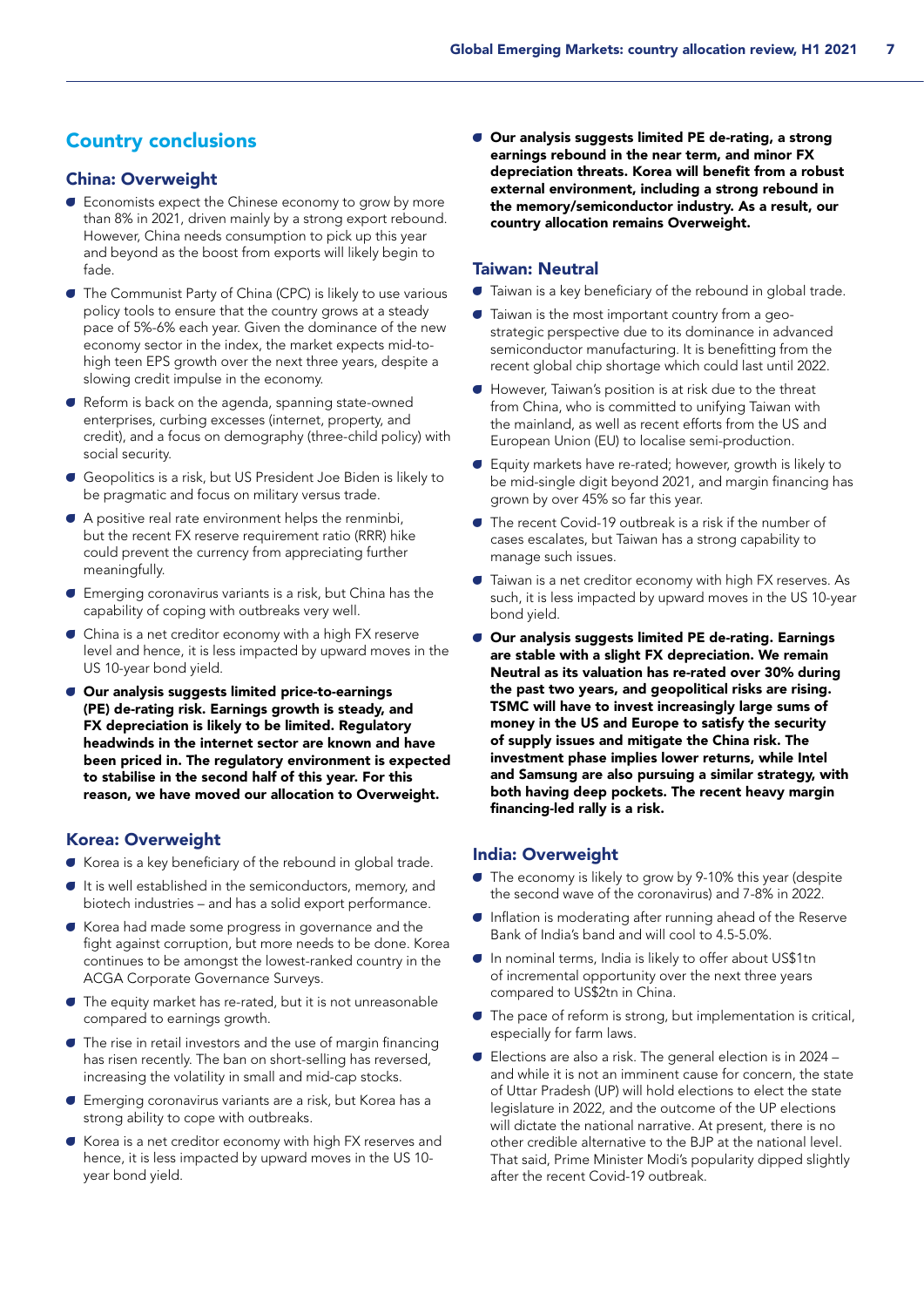# Country conclusions

## China: Overweight

- A Economists expect the Chinese economy to grow by more than 8% in 2021, driven mainly by a strong export rebound. However, China needs consumption to pick up this year and beyond as the boost from exports will likely begin to fade.
- **The Communist Party of China (CPC) is likely to use various** policy tools to ensure that the country grows at a steady pace of 5%-6% each year. Given the dominance of the new economy sector in the index, the market expects mid-tohigh teen EPS growth over the next three years, despite a slowing credit impulse in the economy.
- A Reform is back on the agenda, spanning state-owned enterprises, curbing excesses (internet, property, and credit), and a focus on demography (three-child policy) with social security.
- Geopolitics is a risk, but US President Joe Biden is likely to be pragmatic and focus on military versus trade.
- A positive real rate environment helps the renminbi, but the recent FX reserve requirement ratio (RRR) hike could prevent the currency from appreciating further meaningfully.
- A Emerging coronavirus variants is a risk, but China has the capability of coping with outbreaks very well.
- A China is a net creditor economy with a high FX reserve level and hence, it is less impacted by upward moves in the US 10-year bond yield.
- **C** Our analysis suggests limited price-to-earnings (PE) de-rating risk. Earnings growth is steady, and FX depreciation is likely to be limited. Regulatory headwinds in the internet sector are known and have been priced in. The regulatory environment is expected to stabilise in the second half of this year. For this reason, we have moved our allocation to Overweight.

## Korea: Overweight

- A Korea is a key beneficiary of the rebound in global trade.
- $\bullet$  It is well established in the semiconductors, memory, and biotech industries – and has a solid export performance.
- Korea had made some progress in governance and the fight against corruption, but more needs to be done. Korea continues to be amongst the lowest-ranked country in the ACGA Corporate Governance Surveys.
- A The equity market has re-rated, but it is not unreasonable compared to earnings growth.
- $\bullet$  The rise in retail investors and the use of margin financing has risen recently. The ban on short-selling has reversed, increasing the volatility in small and mid-cap stocks.
- A Emerging coronavirus variants are a risk, but Korea has a strong ability to cope with outbreaks.
- Korea is a net creditor economy with high FX reserves and hence, it is less impacted by upward moves in the US 10 year bond yield.

A Our analysis suggests limited PE de-rating, a strong earnings rebound in the near term, and minor FX depreciation threats. Korea will benefit from a robust external environment, including a strong rebound in the memory/semiconductor industry. As a result, our country allocation remains Overweight.

#### Taiwan: Neutral

- $\blacksquare$  Taiwan is a key beneficiary of the rebound in global trade.
- $\bullet$  Taiwan is the most important country from a geostrategic perspective due to its dominance in advanced semiconductor manufacturing. It is benefitting from the recent global chip shortage which could last until 2022.
- A However, Taiwan's position is at risk due to the threat from China, who is committed to unifying Taiwan with the mainland, as well as recent efforts from the US and European Union (EU) to localise semi-production.
- A Equity markets have re-rated; however, growth is likely to be mid-single digit beyond 2021, and margin financing has grown by over 45% so far this year.
- The recent Covid-19 outbreak is a risk if the number of cases escalates, but Taiwan has a strong capability to manage such issues.
- **Taiwan is a net creditor economy with high FX reserves. As** such, it is less impacted by upward moves in the US 10-year bond yield.
- **C** Our analysis suggests limited PE de-rating. Earnings are stable with a slight FX depreciation. We remain Neutral as its valuation has re-rated over 30% during the past two years, and geopolitical risks are rising. TSMC will have to invest increasingly large sums of money in the US and Europe to satisfy the security of supply issues and mitigate the China risk. The investment phase implies lower returns, while Intel and Samsung are also pursuing a similar strategy, with both having deep pockets. The recent heavy margin financing-led rally is a risk.

#### India: Overweight

- The economy is likely to grow by 9-10% this year (despite the second wave of the coronavirus) and 7-8% in 2022.
- A Inflation is moderating after running ahead of the Reserve Bank of India's band and will cool to 4.5-5.0%.
- A In nominal terms, India is likely to offer about US\$1tn of incremental opportunity over the next three years compared to US\$2tn in China.
- A The pace of reform is strong, but implementation is critical, especially for farm laws.
- $\bullet$  Elections are also a risk. The general election is in 2024 and while it is not an imminent cause for concern, the state of Uttar Pradesh (UP) will hold elections to elect the state legislature in 2022, and the outcome of the UP elections will dictate the national narrative. At present, there is no other credible alternative to the BJP at the national level. That said, Prime Minister Modi's popularity dipped slightly after the recent Covid-19 outbreak.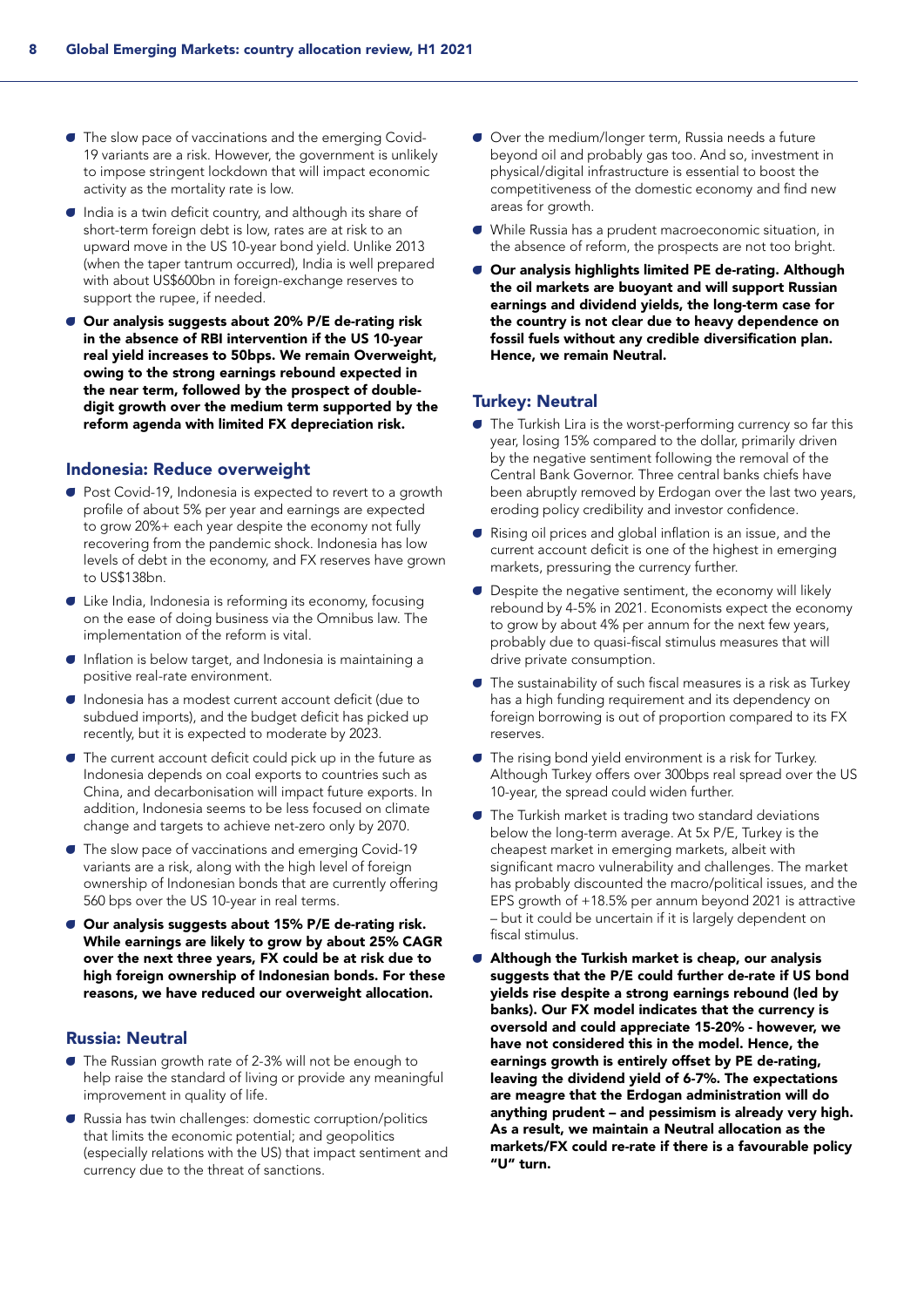- The slow pace of vaccinations and the emerging Covid-19 variants are a risk. However, the government is unlikely to impose stringent lockdown that will impact economic activity as the mortality rate is low.
- $\bullet$  India is a twin deficit country, and although its share of short-term foreign debt is low, rates are at risk to an upward move in the US 10-year bond yield. Unlike 2013 (when the taper tantrum occurred), India is well prepared with about US\$600bn in foreign-exchange reserves to support the rupee, if needed.
- Our analysis suggests about 20% P/E de-rating risk in the absence of RBI intervention if the US 10-year real yield increases to 50bps. We remain Overweight, owing to the strong earnings rebound expected in the near term, followed by the prospect of doubledigit growth over the medium term supported by the reform agenda with limited FX depreciation risk.

### Indonesia: Reduce overweight

- Post Covid-19, Indonesia is expected to revert to a growth profile of about 5% per year and earnings are expected to grow 20%+ each year despite the economy not fully recovering from the pandemic shock. Indonesia has low levels of debt in the economy, and FX reserves have grown to US\$138bn.
- A Like India, Indonesia is reforming its economy, focusing on the ease of doing business via the Omnibus law. The implementation of the reform is vital.
- A Inflation is below target, and Indonesia is maintaining a positive real-rate environment.
- A Indonesia has a modest current account deficit (due to subdued imports), and the budget deficit has picked up recently, but it is expected to moderate by 2023.
- $\bullet$  The current account deficit could pick up in the future as Indonesia depends on coal exports to countries such as China, and decarbonisation will impact future exports. In addition, Indonesia seems to be less focused on climate change and targets to achieve net-zero only by 2070.
- The slow pace of vaccinations and emerging Covid-19 variants are a risk, along with the high level of foreign ownership of Indonesian bonds that are currently offering 560 bps over the US 10-year in real terms.
- **C** Our analysis suggests about 15% P/E de-rating risk. While earnings are likely to grow by about 25% CAGR over the next three years, FX could be at risk due to high foreign ownership of Indonesian bonds. For these reasons, we have reduced our overweight allocation.

## Russia: Neutral

- A The Russian growth rate of 2-3% will not be enough to help raise the standard of living or provide any meaningful improvement in quality of life.
- A Russia has twin challenges: domestic corruption/politics that limits the economic potential; and geopolitics (especially relations with the US) that impact sentiment and currency due to the threat of sanctions.
- Over the medium/longer term, Russia needs a future beyond oil and probably gas too. And so, investment in physical/digital infrastructure is essential to boost the competitiveness of the domestic economy and find new areas for growth.
- A While Russia has a prudent macroeconomic situation, in the absence of reform, the prospects are not too bright.
- **C** Our analysis highlights limited PE de-rating. Although the oil markets are buoyant and will support Russian earnings and dividend yields, the long-term case for the country is not clear due to heavy dependence on fossil fuels without any credible diversification plan. Hence, we remain Neutral.

## Turkey: Neutral

- A The Turkish Lira is the worst-performing currency so far this year, losing 15% compared to the dollar, primarily driven by the negative sentiment following the removal of the Central Bank Governor. Three central banks chiefs have been abruptly removed by Erdogan over the last two years, eroding policy credibility and investor confidence.
- A Rising oil prices and global inflation is an issue, and the current account deficit is one of the highest in emerging markets, pressuring the currency further.
- $\bullet$  Despite the negative sentiment, the economy will likely rebound by 4-5% in 2021. Economists expect the economy to grow by about 4% per annum for the next few years, probably due to quasi-fiscal stimulus measures that will drive private consumption.
- A The sustainability of such fiscal measures is a risk as Turkey has a high funding requirement and its dependency on foreign borrowing is out of proportion compared to its FX reserves.
- A The rising bond yield environment is a risk for Turkey. Although Turkey offers over 300bps real spread over the US 10-year, the spread could widen further.
- **The Turkish market is trading two standard deviations** below the long-term average. At 5x P/E, Turkey is the cheapest market in emerging markets, albeit with significant macro vulnerability and challenges. The market has probably discounted the macro/political issues, and the EPS growth of +18.5% per annum beyond 2021 is attractive – but it could be uncertain if it is largely dependent on fiscal stimulus.
- **C** Although the Turkish market is cheap, our analysis suggests that the P/E could further de-rate if US bond yields rise despite a strong earnings rebound (led by banks). Our FX model indicates that the currency is oversold and could appreciate 15-20% - however, we have not considered this in the model. Hence, the earnings growth is entirely offset by PE de-rating, leaving the dividend yield of 6-7%. The expectations are meagre that the Erdogan administration will do anything prudent – and pessimism is already very high. As a result, we maintain a Neutral allocation as the markets/FX could re-rate if there is a favourable policy "U" turn.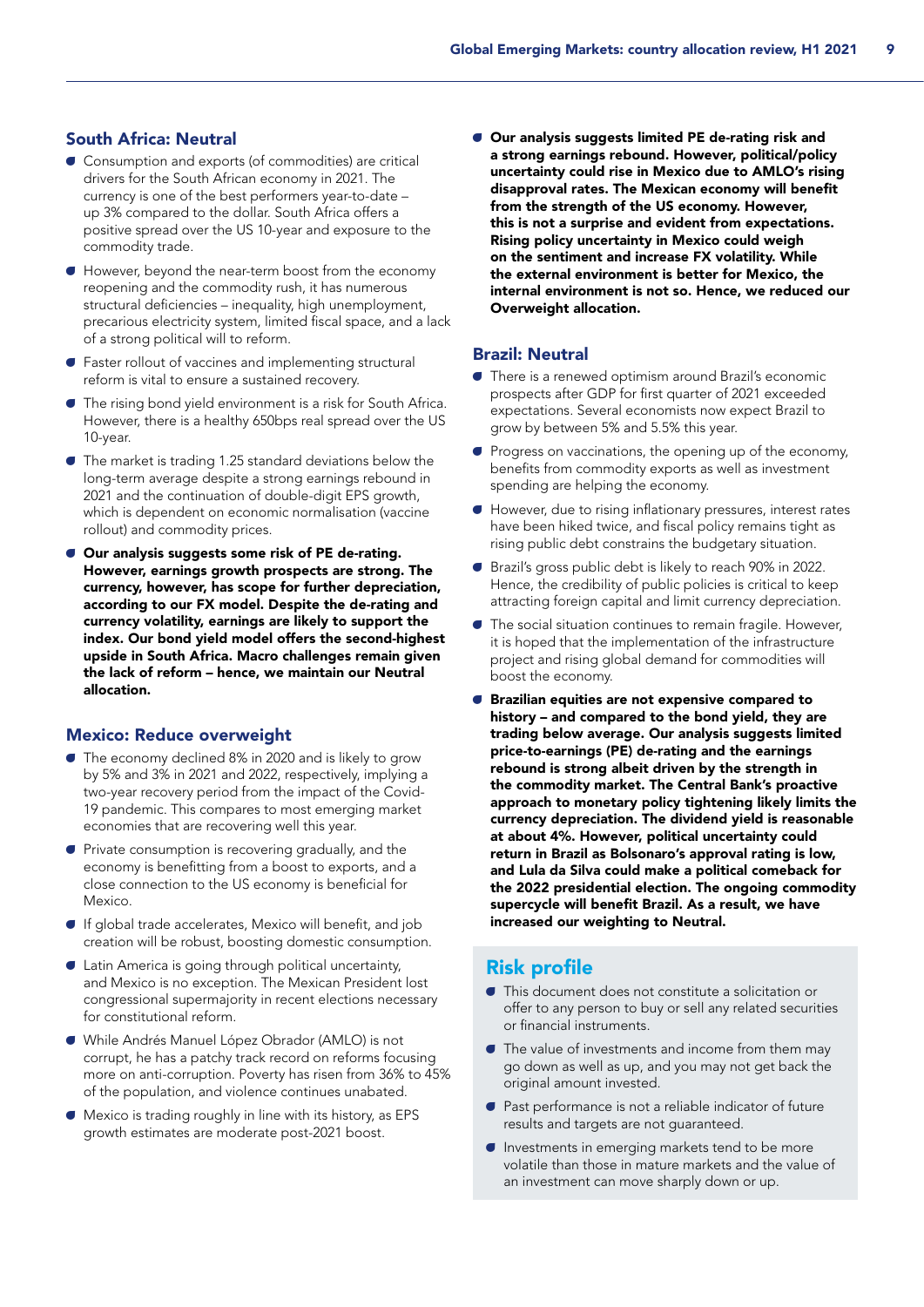## South Africa: Neutral

- A Consumption and exports (of commodities) are critical drivers for the South African economy in 2021. The currency is one of the best performers year-to-date – up 3% compared to the dollar. South Africa offers a positive spread over the US 10-year and exposure to the commodity trade.
- A However, beyond the near-term boost from the economy reopening and the commodity rush, it has numerous structural deficiencies – inequality, high unemployment, precarious electricity system, limited fiscal space, and a lack of a strong political will to reform.
- **Faster rollout of vaccines and implementing structural** reform is vital to ensure a sustained recovery.
- **The rising bond yield environment is a risk for South Africa.** However, there is a healthy 650bps real spread over the US 10-year.
- $\bullet$  The market is trading 1.25 standard deviations below the long-term average despite a strong earnings rebound in 2021 and the continuation of double-digit EPS growth, which is dependent on economic normalisation (vaccine rollout) and commodity prices.
- **C** Our analysis suggests some risk of PE de-rating. However, earnings growth prospects are strong. The currency, however, has scope for further depreciation, according to our FX model. Despite the de-rating and currency volatility, earnings are likely to support the index. Our bond yield model offers the second-highest upside in South Africa. Macro challenges remain given the lack of reform – hence, we maintain our Neutral allocation.

#### Mexico: Reduce overweight

- The economy declined 8% in 2020 and is likely to grow by 5% and 3% in 2021 and 2022, respectively, implying a two-year recovery period from the impact of the Covid-19 pandemic. This compares to most emerging market economies that are recovering well this year.
- $\bullet$  Private consumption is recovering gradually, and the economy is benefitting from a boost to exports, and a close connection to the US economy is beneficial for Mexico.
- A If global trade accelerates, Mexico will benefit, and job creation will be robust, boosting domestic consumption.
- $\blacksquare$  Latin America is going through political uncertainty, and Mexico is no exception. The Mexican President lost congressional supermajority in recent elections necessary for constitutional reform.
- A While Andrés Manuel López Obrador (AMLO) is not corrupt, he has a patchy track record on reforms focusing more on anti-corruption. Poverty has risen from 36% to 45% of the population, and violence continues unabated.
- $\bullet$  Mexico is trading roughly in line with its history, as EPS growth estimates are moderate post-2021 boost.

A Our analysis suggests limited PE de-rating risk and a strong earnings rebound. However, political/policy uncertainty could rise in Mexico due to AMLO's rising disapproval rates. The Mexican economy will benefit from the strength of the US economy. However, this is not a surprise and evident from expectations. Rising policy uncertainty in Mexico could weigh on the sentiment and increase FX volatility. While the external environment is better for Mexico, the internal environment is not so. Hence, we reduced our Overweight allocation.

#### Brazil: Neutral

- A There is a renewed optimism around Brazil's economic prospects after GDP for first quarter of 2021 exceeded expectations. Several economists now expect Brazil to grow by between 5% and 5.5% this year.
- A Progress on vaccinations, the opening up of the economy, benefits from commodity exports as well as investment spending are helping the economy.
- A However, due to rising inflationary pressures, interest rates have been hiked twice, and fiscal policy remains tight as rising public debt constrains the budgetary situation.
- A Brazil's gross public debt is likely to reach 90% in 2022. Hence, the credibility of public policies is critical to keep attracting foreign capital and limit currency depreciation.
- **The social situation continues to remain fragile. However,** it is hoped that the implementation of the infrastructure project and rising global demand for commodities will boost the economy.
- A Brazilian equities are not expensive compared to history – and compared to the bond yield, they are trading below average. Our analysis suggests limited price-to-earnings (PE) de-rating and the earnings rebound is strong albeit driven by the strength in the commodity market. The Central Bank's proactive approach to monetary policy tightening likely limits the currency depreciation. The dividend yield is reasonable at about 4%. However, political uncertainty could return in Brazil as Bolsonaro's approval rating is low, and Lula da Silva could make a political comeback for the 2022 presidential election. The ongoing commodity supercycle will benefit Brazil. As a result, we have increased our weighting to Neutral.

## Risk profile

- A This document does not constitute a solicitation or offer to any person to buy or sell any related securities or financial instruments.
- **The value of investments and income from them may** go down as well as up, and you may not get back the original amount invested.
- A Past performance is not a reliable indicator of future results and targets are not guaranteed.
- **Investments in emerging markets tend to be more** volatile than those in mature markets and the value of an investment can move sharply down or up.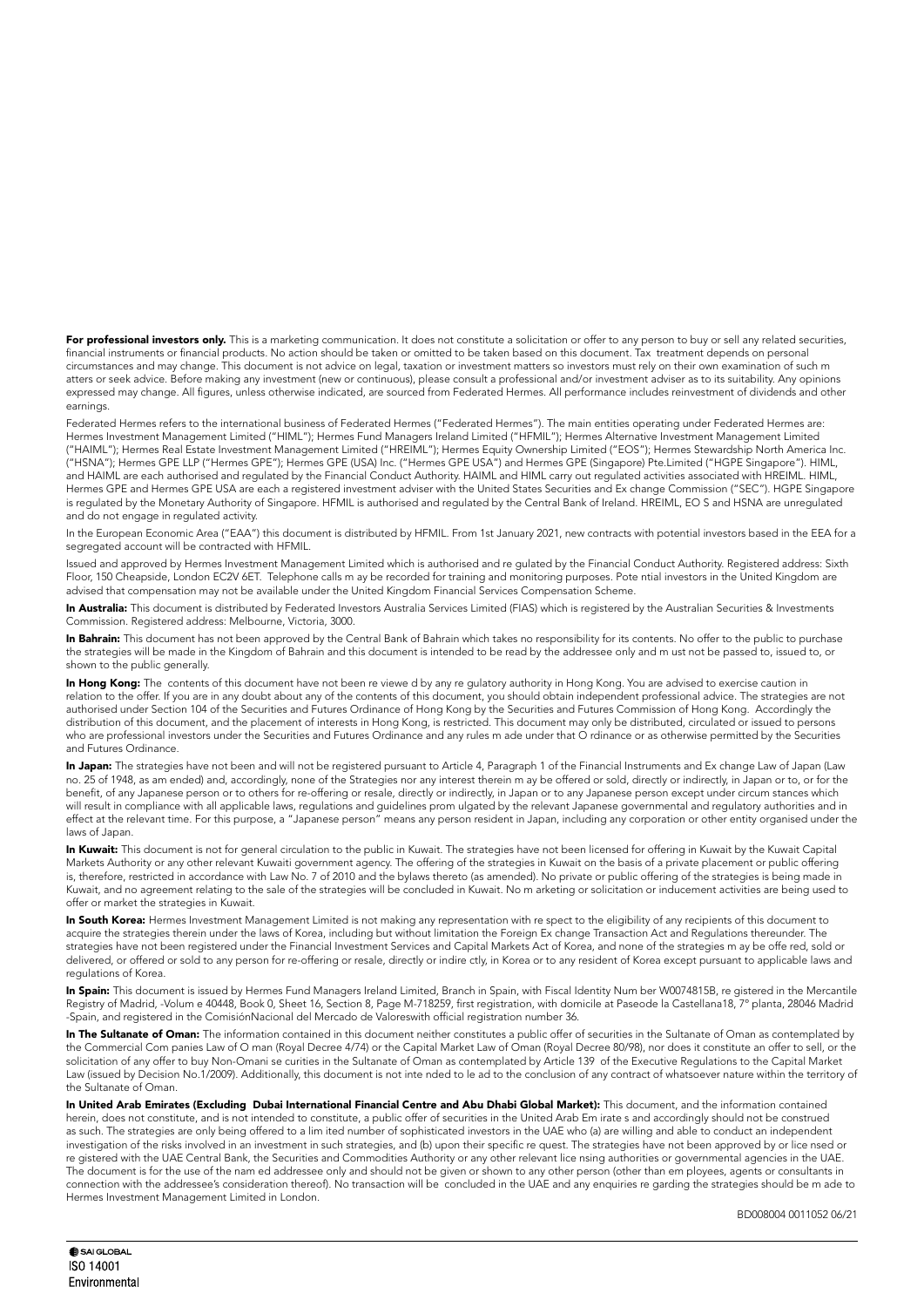For professional investors only. This is a marketing communication. It does not constitute a solicitation or offer to any person to buy or sell any related securities, financial instruments or financial products. No action should be taken or omitted to be taken based on this document. Tax treatment depends on personal circumstances and may change. This document is not advice on legal, taxation or investment matters so investors must rely on their own examination of such m atters or seek advice. Before making any investment (new or continuous), please consult a professional and/or investment adviser as to its suitability. Any opinions expressed may change. All figures, unless otherwise indicated, are sourced from Federated Hermes. All performance includes reinvestment of dividends and other earnings.

Federated Hermes refers to the international business of Federated Hermes ("Federated Hermes"). The main entities operating under Federated Hermes are: Hermes Investment Management Limited ("HIML"); Hermes Fund Managers Ireland Limited ("HFMIL"); Hermes Alternative Investment Management Limited ("HAIML"); Hermes Real Estate Investment Management Limited ("HREIML"); Hermes Equity Ownership Limited ("EOS"); Hermes Stewardship North America Inc. ("HSNA"); Hermes GPE LLP ("Hermes GPE"); Hermes GPE (USA) Inc. ("Hermes GPE USA") and Hermes GPE (Singapore) Pte.Limited ("HGPE Singapore"). HIML, and HAIML are each authorised and regulated by the Financial Conduct Authority. HAIML and HIML carry out regulated activities associated with HREIML. HIML, Hermes GPE and Hermes GPE USA are each a registered investment adviser with the United States Securities and Ex change Commission ("SEC"). HGPE Singapore is regulated by the Monetary Authority of Singapore. HFMIL is authorised and regulated by the Central Bank of Ireland. HREIML, EO S and HSNA are unregulated and do not engage in regulated activity.

In the European Economic Area ("EAA") this document is distributed by HFMIL. From 1st January 2021, new contracts with potential investors based in the EEA for a segregated account will be contracted with HFMIL.

Issued and approved by Hermes Investment Management Limited which is authorised and re gulated by the Financial Conduct Authority. Registered address: Sixth Floor, 150 Cheapside, London EC2V 6ET. Telephone calls m ay be recorded for training and monitoring purposes. Pote ntial investors in the United Kingdom are advised that compensation may not be available under the United Kingdom Financial Services Compensation Scheme.

In Australia: This document is distributed by Federated Investors Australia Services Limited (FIAS) which is registered by the Australian Securities & Investments Commission. Registered address: Melbourne, Victoria, 3000.

In Bahrain: This document has not been approved by the Central Bank of Bahrain which takes no responsibility for its contents. No offer to the public to purchase the strategies will be made in the Kingdom of Bahrain and this document is intended to be read by the addressee only and m ust not be passed to, issued to, or shown to the public generally.

In Hong Kong: The contents of this document have not been re viewe d by any re gulatory authority in Hong Kong. You are advised to exercise caution in relation to the offer. If you are in any doubt about any of the contents of this document, you should obtain independent professional advice. The strategies are not authorised under Section 104 of the Securities and Futures Ordinance of Hong Kong by the Securities and Futures Commission of Hong Kong. Accordingly the distribution of this document, and the placement of interests in Hong Kong, is restricted. This document may only be distributed, circulated or issued to persons who are professional investors under the Securities and Futures Ordinance and any rules m ade under that O rdinance or as otherwise permitted by the Securities and Futures Ordinance.

In Japan: The strategies have not been and will not be registered pursuant to Article 4, Paragraph 1 of the Financial Instruments and Ex change Law of Japan (Law no. 25 of 1948, as am ended) and, accordingly, none of the Strategies nor any interest therein m ay be offered or sold, directly or indirectly, in Japan or to, or for the benefit, of any Japanese person or to others for re-offering or resale, directly or indirectly, in Japan or to any Japanese person except under circum stances which will result in compliance with all applicable laws, regulations and guidelines prom ulgated by the relevant Japanese governmental and regulatory authorities and in effect at the relevant time. For this purpose, a "Japanese person" means any person resident in Japan, including any corporation or other entity organised under the laws of Japan.

In Kuwait: This document is not for general circulation to the public in Kuwait. The strategies have not been licensed for offering in Kuwait by the Kuwait Capital Markets Authority or any other relevant Kuwaiti government agency. The offering of the strategies in Kuwait on the basis of a private placement or public offering is, therefore, restricted in accordance with Law No. 7 of 2010 and the bylaws thereto (as amended). No private or public offering of the strategies is being made in Kuwait, and no agreement relating to the sale of the strategies will be concluded in Kuwait. No m arketing or solicitation or inducement activities are being used to offer or market the strategies in Kuwait.

In South Korea: Hermes Investment Management Limited is not making any representation with re spect to the eligibility of any recipients of this document to acquire the strategies therein under the laws of Korea, including but without limitation the Foreign Ex change Transaction Act and Regulations thereunder. The strategies have not been registered under the Financial Investment Services and Capital Markets Act of Korea, and none of the strategies m ay be offe red, sold or delivered, or offered or sold to any person for re-offering or resale, directly or indire ctly, in Korea or to any resident of Korea except pursuant to applicable laws and regulations of Korea.

In Spain: This document is issued by Hermes Fund Managers Ireland Limited, Branch in Spain, with Fiscal Identity Num ber W0074815B, re gistered in the Mercantile Registry of Madrid, -Volum e 40448, Book 0, Sheet 16, Section 8, Page M-718259, first registration, with domicile at Paseode la Castellana18, 7° planta, 28046 Madrid -Spain, and registered in the ComisiónNacional del Mercado de Valoreswith official registration number 36.

In The Sultanate of Oman: The information contained in this document neither constitutes a public offer of securities in the Sultanate of Oman as contemplated by the Commercial Com panies Law of O man (Royal Decree 4/74) or the Capital Market Law of Oman (Royal Decree 80/98), nor does it constitute an offer to sell, or the solicitation of any offer to buy Non-Omani se curities in the Sultanate of Oman as contemplated by Article 139 of the Executive Regulations to the Capital Market Law (issued by Decision No.1/2009). Additionally, this document is not inte nded to le ad to the conclusion of any contract of whatsoever nature within the territory of the Sultanate of Oman.

In United Arab Emirates (Excluding Dubai International Financial Centre and Abu Dhabi Global Market): This document, and the information contained herein, does not constitute, and is not intended to constitute, a public offer of securities in the United Arab Em irate s and accordingly should not be construed as such. The strategies are only being offered to a lim ited number of sophisticated investors in the UAE who (a) are willing and able to conduct an independent investigation of the risks involved in an investment in such strategies, and (b) upon their specific re quest. The strategies have not been approved by or lice nsed or re gistered with the UAE Central Bank, the Securities and Commodities Authority or any other relevant lice nsing authorities or governmental agencies in the UAE. The document is for the use of the nam ed addressee only and should not be given or shown to any other person (other than em ployees, agents or consultants in connection with the addressee's consideration thereof). No transaction will be concluded in the UAE and any enquiries re garding the strategies should be m ade to Hermes Investment Management Limited in London.